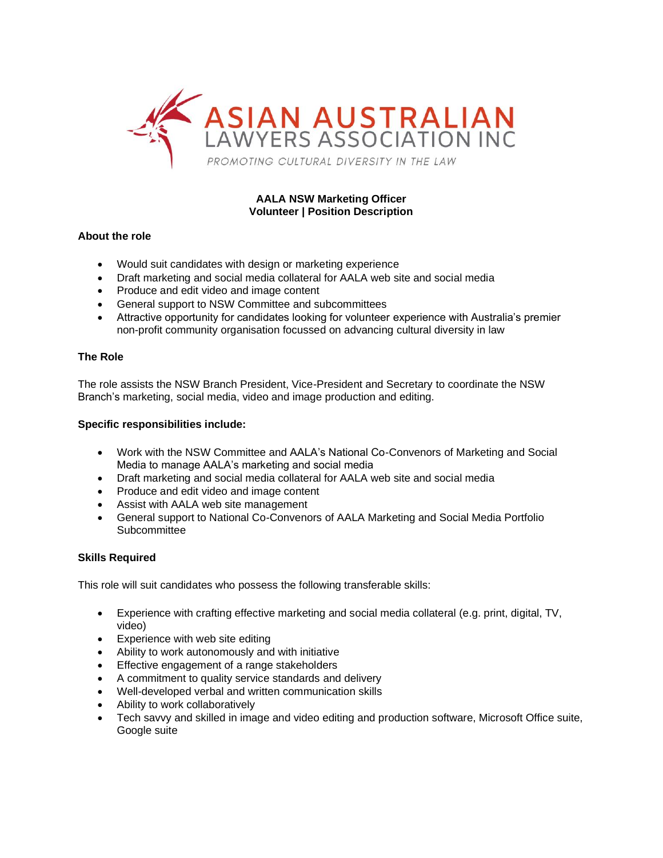

# **AALA NSW Marketing Officer Volunteer | Position Description**

# **About the role**

- Would suit candidates with design or marketing experience
- Draft marketing and social media collateral for AALA web site and social media
- Produce and edit video and image content
- General support to NSW Committee and subcommittees
- Attractive opportunity for candidates looking for volunteer experience with Australia's premier non-profit community organisation focussed on advancing cultural diversity in law

## **The Role**

The role assists the NSW Branch President, Vice-President and Secretary to coordinate the NSW Branch's marketing, social media, video and image production and editing.

### **Specific responsibilities include:**

- Work with the NSW Committee and AALA's National Co-Convenors of Marketing and Social Media to manage AALA's marketing and social media
- Draft marketing and social media collateral for AALA web site and social media
- Produce and edit video and image content
- Assist with AALA web site management
- General support to National Co-Convenors of AALA Marketing and Social Media Portfolio **Subcommittee**

### **Skills Required**

This role will suit candidates who possess the following transferable skills:

- Experience with crafting effective marketing and social media collateral (e.g. print, digital, TV, video)
- Experience with web site editing
- Ability to work autonomously and with initiative
- Effective engagement of a range stakeholders
- A commitment to quality service standards and delivery
- Well-developed verbal and written communication skills
- Ability to work collaboratively
- Tech savvy and skilled in image and video editing and production software, Microsoft Office suite, Google suite